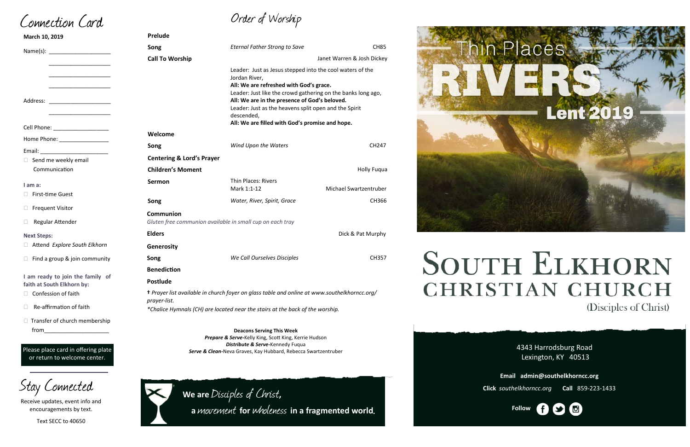**We are** Disciples of Christ**,** 

**<sup>a</sup>**movement **for** wholeness **in a fragmented world**.



# **SOUTH ELKHORN CHRISTIAN CHURCH** (Disciples of Christ)

# Order of Worship

 $\Box$  Transfer of church membership

| March 10, 2019                                                 | Prelude                                                                                                             |                                                                                                                                                                                                                                                                                                               |                        |
|----------------------------------------------------------------|---------------------------------------------------------------------------------------------------------------------|---------------------------------------------------------------------------------------------------------------------------------------------------------------------------------------------------------------------------------------------------------------------------------------------------------------|------------------------|
|                                                                | Song                                                                                                                | <b>Eternal Father Strong to Save</b>                                                                                                                                                                                                                                                                          | <b>CH85</b>            |
|                                                                | <b>Call To Worship</b>                                                                                              | Janet Warren & Josh Dickey                                                                                                                                                                                                                                                                                    |                        |
| Address: _______________________                               |                                                                                                                     | Leader: Just as Jesus stepped into the cool waters of the<br>Jordan River,<br>All: We are refreshed with God's grace.<br>Leader: Just like the crowd gathering on the banks long ago,<br>All: We are in the presence of God's beloved.<br>Leader: Just as the heavens split open and the Spirit<br>descended, |                        |
|                                                                |                                                                                                                     | All: We are filled with God's promise and hope.                                                                                                                                                                                                                                                               |                        |
| Home Phone: _________________                                  | Welcome                                                                                                             |                                                                                                                                                                                                                                                                                                               |                        |
| Email: North Marian Communication                              | Song                                                                                                                | Wind Upon the Waters                                                                                                                                                                                                                                                                                          | CH247                  |
| $\Box$ Send me weekly email                                    | <b>Centering &amp; Lord's Prayer</b>                                                                                |                                                                                                                                                                                                                                                                                                               |                        |
| Communication                                                  | <b>Children's Moment</b>                                                                                            |                                                                                                                                                                                                                                                                                                               | <b>Holly Fuqua</b>     |
| $I$ am a:                                                      | Sermon                                                                                                              | <b>Thin Places: Rivers</b><br>Mark 1:1-12                                                                                                                                                                                                                                                                     | Michael Swartzentruber |
| □ First-time Guest                                             | Song                                                                                                                | Water, River, Spirit, Grace                                                                                                                                                                                                                                                                                   | CH366                  |
| □ Frequent Visitor                                             |                                                                                                                     |                                                                                                                                                                                                                                                                                                               |                        |
| □ Regular Attender                                             | Communion<br>Gluten free communion available in small cup on each tray                                              |                                                                                                                                                                                                                                                                                                               |                        |
| <b>Next Steps:</b>                                             | <b>Elders</b>                                                                                                       |                                                                                                                                                                                                                                                                                                               | Dick & Pat Murphy      |
| Attend Explore South Elkhorn                                   | Generosity                                                                                                          |                                                                                                                                                                                                                                                                                                               |                        |
| $\Box$ Find a group & join community                           | Song                                                                                                                | We Call Ourselves Disciples                                                                                                                                                                                                                                                                                   | CH357                  |
|                                                                | <b>Benediction</b>                                                                                                  |                                                                                                                                                                                                                                                                                                               |                        |
| I am ready to join the family of<br>faith at South Elkhorn by: | <b>Postlude</b>                                                                                                     |                                                                                                                                                                                                                                                                                                               |                        |
| $\Box$ Confession of faith                                     | <i>t Prayer list available in church foyer on glass table and online at www.southelkhorncc.org/</i><br>prayer-list. |                                                                                                                                                                                                                                                                                                               |                        |
| $\Box$ Re-affirmation of faith                                 | *Chalice Hymnals (CH) are located near the stairs at the back of the worship.                                       |                                                                                                                                                                                                                                                                                                               |                        |

4343 Harrodsburg Road Lexington, KY 40513



**Email admin@southelkhorncc.org**

**Click** *southelkhorncc.org* **Call** 859-223-1433

**Deacons Serving This Week** *Prepare & Serve-*Kelly King, Scott King, Kerrie Hudson *Distribute & Serve-*Kennedy Fuqua *Serve & Clean-*Neva Graves, Kay Hubbard, Rebecca Swartzentruber

Connection Card

from\_\_\_\_\_\_\_\_\_\_\_\_\_\_\_\_\_\_\_\_\_

Please place card in offering plate or return to welcome center.



Receive updates, event info and encouragements by text.

Text SECC to 40650